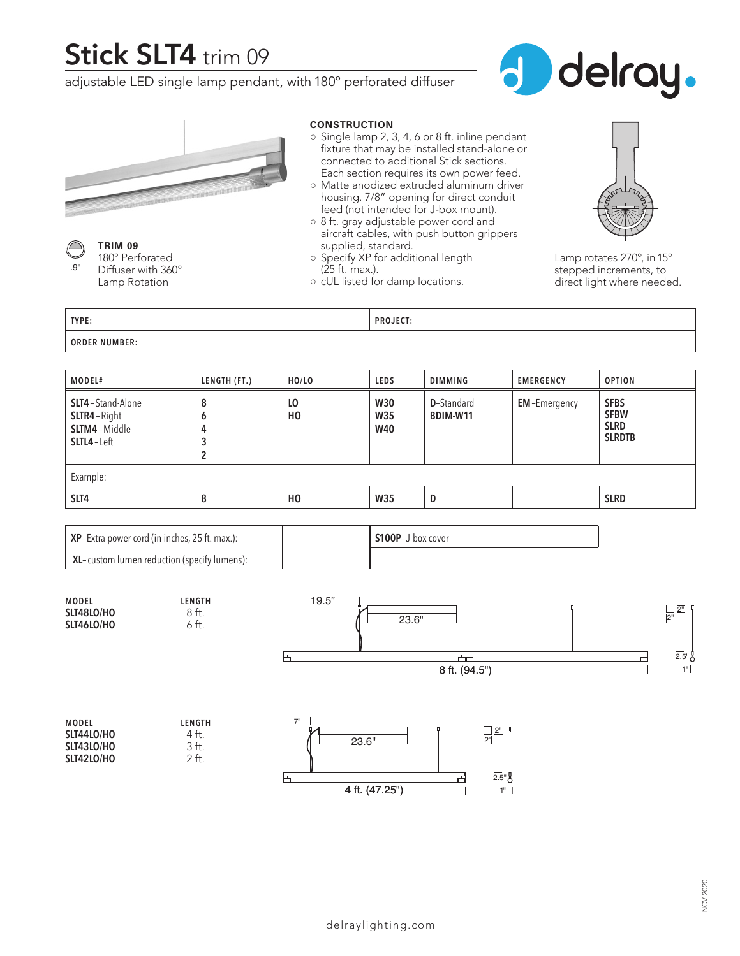## **Stick SLT4** trim 09

adjustable LED single lamp pendant, with 180º perforated diffuser





**TRIM 09** 180° Perforated Diffuser with 360° Lamp Rotation  $\mid$  .  $\mid$ 

#### **CONSTRUCTION**

- Single lamp 2, 3, 4, 6 or 8 ft. inline pendant fixture that may be installed stand-alone or connected to additional Stick sections. Each section requires its own power feed.
- Matte anodized extruded aluminum driver housing. 7/8" opening for direct conduit feed (not intended for J-box mount).
- 8 ft. gray adjustable power cord and aircraft cables, with push button grippers supplied, standard.
- Specify XP for additional length (25 ft. max.).
- cUL listed for damp locations.



Lamp rotates 270º, in 15º stepped increments, to direct light where needed.

**TYPE: PROJECT:**

**ORDER NUMBER:**

| MODEL#                                                                 | LENGTH (FT.)     | HO/LO                | <b>LEDS</b>                            | <b>DIMMING</b>                 | <b>EMERGENCY</b>    | <b>OPTION</b>                                              |  |  |
|------------------------------------------------------------------------|------------------|----------------------|----------------------------------------|--------------------------------|---------------------|------------------------------------------------------------|--|--|
| <b>SLT4</b> - Stand-Alone<br>SLTR4-Right<br>SLTM4-Middle<br>SLTL4-Left | 8<br>٥<br>4<br>2 | LO<br>H <sub>0</sub> | <b>W30</b><br><b>W35</b><br><b>W40</b> | <b>D</b> -Standard<br>BDIM-W11 | <b>EM-Emergency</b> | <b>SFBS</b><br><b>SFBW</b><br><b>SLRD</b><br><b>SLRDTB</b> |  |  |
| Example:                                                               |                  |                      |                                        |                                |                     |                                                            |  |  |
| SLT4                                                                   | 8                | H <sub>0</sub>       | <b>W35</b>                             | D                              |                     | <b>SLRD</b>                                                |  |  |

| $\vert$ XP-Extra power cord (in inches, 25 ft. max.): | S100P-J-box cover |  |
|-------------------------------------------------------|-------------------|--|
| $\mid$ XL-custom lumen reduction (specify lumens):    |                   |  |

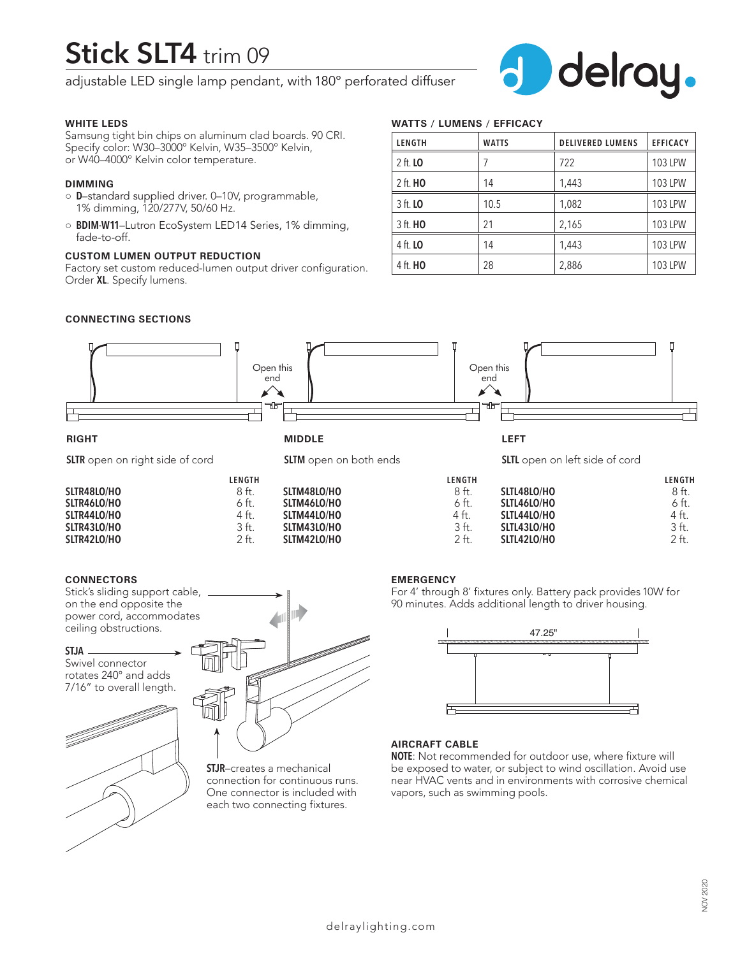# **Stick SLT4** trim 09

adjustable LED single lamp pendant, with 180º perforated diffuser



#### **WHITE LEDS**

Samsung tight bin chips on aluminum clad boards. 90 CRI. Specify color: W30–3000º Kelvin, W35–3500º Kelvin, or W40–4000º Kelvin color temperature.

#### **DIMMING**

- **D**–standard supplied driver. 0–10V, programmable, 1% dimming, 120/277V, 50/60 Hz.
- **BDIM-W11**–Lutron EcoSystem LED14 Series, 1% dimming, fade-to-off.

#### **CUSTOM LUMEN OUTPUT REDUCTION**

Factory set custom reduced-lumen output driver configuration. Order **XL**. Specify lumens.

### **WATTS / LUMENS / EFFICACY**

| LENGTH          | <b>WATTS</b> | <b>DELIVERED LUMENS</b> | <b>EFFICACY</b> |
|-----------------|--------------|-------------------------|-----------------|
| 2 ft. <b>LO</b> |              | 722                     | 103 LPW         |
| 2 ft. <b>HO</b> | 14           | 1,443                   | 103 LPW         |
| 3 ft. <b>LO</b> | 10.5         | 1,082                   | 103 LPW         |
| 3 ft. <b>HO</b> | 21           | 2,165                   | <b>103 LPW</b>  |
| 4 ft. <b>LO</b> | 14           | 1,443                   | 103 LPW         |
| 4 ft. <b>HO</b> | 28           | 2,886                   | <b>103 LPW</b>  |

#### **CONNECTING SECTIONS**



**SLTM43LO/HO** 3 ft.<br>**SLTM42LO/HO** 2 ft.

### **SLTR44LO/HO** 4 ft.<br>**SLTR43LO/HO** 3 ft. **SLTR43LO/HO** 3 ft.<br>**SLTR42LO/HO** 2 ft. **SLTR42LO/HO**

#### **CONNECTORS**

Stick's sliding support cable, on the end opposite the power cord, accommodates ceiling obstructions.

#### **STJA**

Swivel connector rotates 240° and adds 7/16" to overall length.





**SLTM42LO/HO** 

**STJR**–creates a mechanical connection for continuous runs. One connector is included with each two connecting fixtures.

#### **EMERGENCY**

For 4' through 8' fixtures only. Battery pack provides 10W for 90 minutes. Adds additional length to driver housing.

**SLTL42LO/HO** 

**SLTL43LO/HO** 3 ft.<br>**SLTL42LO/HO** 2 ft.



#### **AIRCRAFT CABLE**

**NOTE**: Not recommended for outdoor use, where fixture will be exposed to water, or subject to wind oscillation. Avoid use near HVAC vents and in environments with corrosive chemical vapors, such as swimming pools.